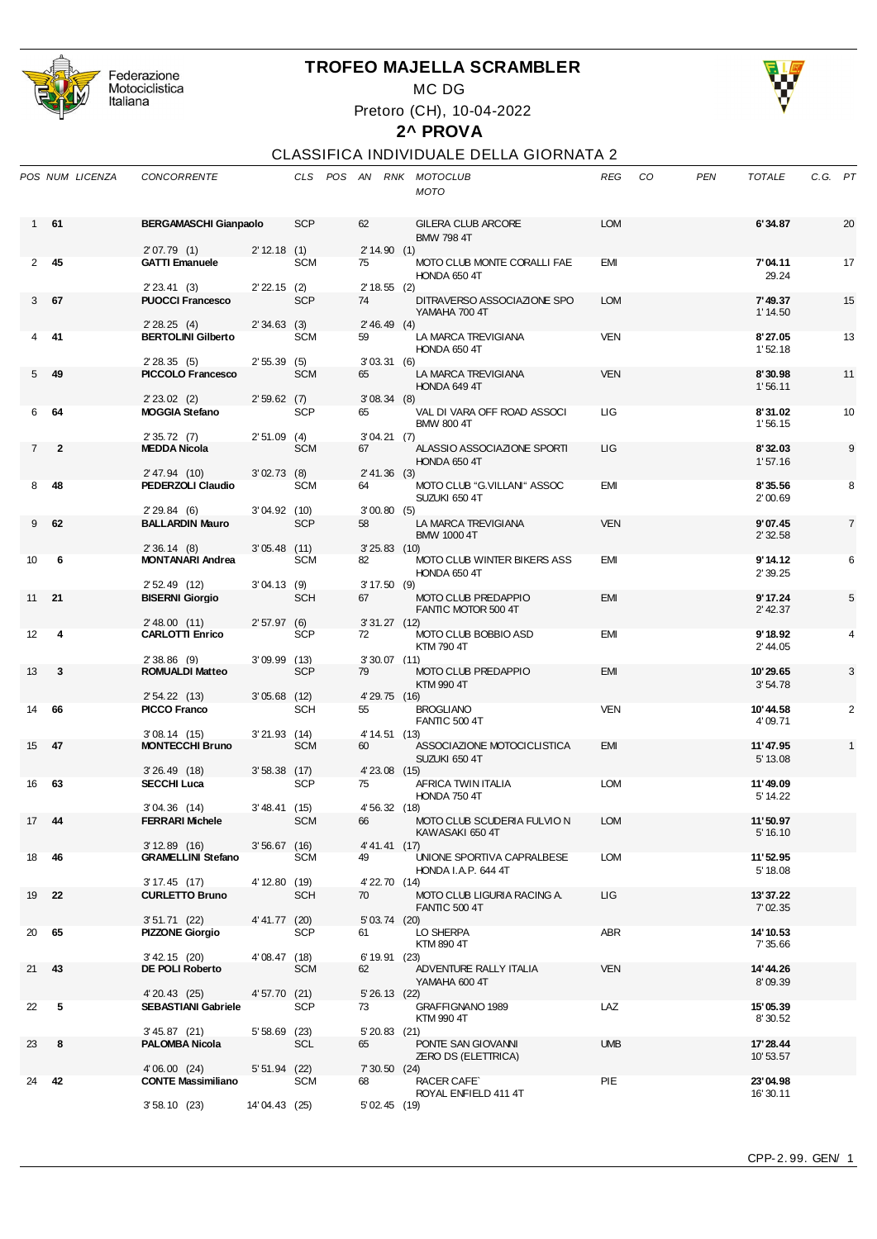

Federazione<br>Motociclistica<br>Italiana

## **TROFEO MAJELLA SCRAMBLER**

MC DG

Pretoro (CH), 10-04-2022



## **2^ PROVA**

## CLASSIFICA INDIVIDUALE DELLA GIORNATA 2

|                | POS NUM LICENZA | CONCORRENTE                                 |                |            |                      | CLS POS AN RNK MOTOCLUB<br>MOTO                          | <b>REG</b> | CO | <b>PEN</b> | <b>TOTALE</b>          | C.G. PT |    |
|----------------|-----------------|---------------------------------------------|----------------|------------|----------------------|----------------------------------------------------------|------------|----|------------|------------------------|---------|----|
| 1              | 61              | <b>BERGAMASCHI Gianpaolo</b><br>2'07.79(1)  | 2' 12.18 (1)   | <b>SCP</b> | 62<br>2'14.90(1)     | <b>GILERA CLUB ARCORE</b><br><b>BMW 798 4T</b>           | <b>LOM</b> |    |            | 6'34.87                |         | 20 |
| 2              | -45             | <b>GATTI Emanuele</b><br>$2' 23.41$ (3)     | $2' 22.15$ (2) | <b>SCM</b> | 75<br>$2' 18.55$ (2) | MOTO CLUB MONTE CORALLI FAE<br>HONDA 650 4T              | EMI        |    |            | 7'04.11<br>29.24       |         | 17 |
| 3              | 67              | <b>PUOCCI Francesco</b><br>2'28.25(4)       | 2'34.63(3)     | <b>SCP</b> | 74<br>2'46.49(4)     | DITRAVERSO ASSOCIAZIONE SPO<br>YAMAHA 700 4T             | <b>LOM</b> |    |            | 7'49.37<br>1'14.50     |         | 15 |
|                | -41             | <b>BERTOLINI Gilberto</b><br>2'28.35(5)     | 2'55.39(5)     | <b>SCM</b> | 59<br>3'03.31(6)     | LA MARCA TREVIGIANA<br>HONDA 650 4T                      | VEN        |    |            | 8'27.05<br>1'52.18     |         | 13 |
| 5              | 49              | PICCOLO Francesco<br>$2' 23.02$ (2)         | 2'59.62(7)     | <b>SCM</b> | 65<br>3'08.34(8)     | LA MARCA TREVIGIANA<br>HONDA 649 4T                      | <b>VEN</b> |    |            | 8'30.98<br>1'56.11     |         | 11 |
| 6              | 64              | <b>MOGGIA Stefano</b><br>2'35.72(7)         | $2'51.09$ (4)  | <b>SCP</b> | 65<br>3'04.21(7)     | VAL DI VARA OFF ROAD ASSOCI<br><b>BMW 800 4T</b>         | <b>LIG</b> |    |            | 8'31.02<br>1'56.15     |         | 10 |
| $\overline{7}$ | $\overline{2}$  | <b>MEDDA Nicola</b><br>2' 47.94 (10)        | 3'02.73(8)     | <b>SCM</b> | 67<br>2' 41.36 (3)   | ALASSIO ASSOCIAZIONE SPORTI<br>HONDA 650 4T              | ЦG         |    |            | 8'32.03<br>1'57.16     |         | 9  |
| 8              | 48              | PEDERZOLI Claudio<br>2'29.84(6)             | 3'04.92(10)    | <b>SCM</b> | 64<br>3'00.80(5)     | MOTO CLUB "G.VILLANI" ASSOC<br>SUZUKI 650 4T             | EMI        |    |            | 8'35.56<br>2'00.69     |         | 8  |
| 9              | 62              | <b>BALLARDIN Mauro</b><br>2'36.14(8)        | $3'05.48$ (11) | <b>SCP</b> | 58<br>$3'25.83$ (10) | LA MARCA TREVIGIANA<br><b>BMW 1000 4T</b>                | <b>VEN</b> |    |            | 9'07.45<br>2'32.58     |         | 7  |
| 10             | 6               | <b>MONTANARI Andrea</b><br>$2'52.49$ (12)   | 3'04.13(9)     | SCM        | 82<br>3'17.50(9)     | MOTO CLUB WINTER BIKERS ASS<br>HONDA 650 4T              | EMI        |    |            | 9'14.12<br>2'39.25     |         | 6  |
| 11             | 21              | <b>BISERNI Giorgio</b><br>$2'$ 48.00 (11)   | 2'57.97(6)     | <b>SCH</b> | 67<br>$3'31.27$ (12) | MOTO CLUB PREDAPPIO<br>FANTIC MOTOR 500 4T               | <b>EMI</b> |    |            | 9' 17.24<br>$2'$ 42.37 |         | 5  |
| 12             | 4               | <b>CARLOTTI Enrico</b><br>$2'38.86$ (9)     | $3'09.99$ (13) | <b>SCP</b> | 72<br>$3'30.07$ (11) | MOTO CLUB BOBBIO ASD<br><b>KTM 790 4T</b>                | <b>EMI</b> |    |            | 9'18.92<br>2' 44.05    |         | 4  |
| 13             | 3               | <b>ROMUALDI Matteo</b><br>2' 54.22 (13)     | $3'05.68$ (12) | <b>SCP</b> | 79<br>4' 29.75 (16)  | MOTO CLUB PREDAPPIO<br>KTM 990 4T                        | <b>EMI</b> |    |            | 10'29.65<br>3'54.78    |         | 3  |
| 14             | 66              | <b>PICCO Franco</b><br>3'08.14(15)          | $3'21.93$ (14) | <b>SCH</b> | 55<br>4' 14.51 (13)  | <b>BROGLIANO</b><br><b>FANTIC 500 4T</b>                 | <b>VEN</b> |    |            | 10'44.58<br>4'09.71    |         | 2  |
| 15             | 47              | <b>MONTECCHI Bruno</b><br>3'26.49(18)       | $3'58.38$ (17) | <b>SCM</b> | 60<br>4'23.08 (15)   | ASSOCIAZIONE MOTOCICLISTICA<br>SUZUKI 650 4T             | <b>EMI</b> |    |            | 11'47.95<br>5' 13.08   |         | 1  |
| 16             | 63              | <b>SECCHI Luca</b><br>3'04.36(14)           | 3'48.41(15)    | <b>SCP</b> | 75<br>4' 56.32 (18)  | AFRICA TWIN ITALIA<br>HONDA 750 4T                       | <b>LOM</b> |    |            | 11'49.09<br>5' 14.22   |         |    |
| 17             | 44              | <b>FERRARI Michele</b><br>3'12.89(16)       | $3'56.67$ (16) | <b>SCM</b> | 66<br>4' 41.41 (17)  | MOTO CLUB SCUDERIA FULVIO N<br>KAWASAKI 650 4T           | <b>LOM</b> |    |            | 11'50.97<br>5' 16.10   |         |    |
| 18             | 46              | <b>GRAMELLINI Stefano</b><br>$3'17.45$ (17) | 4' 12.80 (19)  | SCM        | 49<br>4' 22.70 (14)  | UNIONE SPORTIVA CAPRALBESE<br><b>HONDA I.A.P. 644 4T</b> | <b>LOM</b> |    |            | 11'52.95<br>5' 18.08   |         |    |
| 19             | 22              | <b>CURLETTO Bruno</b><br>$3'51.71$ (22)     | 4' 41.77 (20)  | <b>SCH</b> | 70<br>5' 03.74 (20)  | MOTO CLUB LIGURIA RACING A.<br><b>FANTIC 500 4T</b>      | ЦG         |    |            | 13'37.22<br>7' 02.35   |         |    |
| 20             | 65              | <b>PIZZONE Giorgio</b><br>$3'$ 42.15 (20)   | 4'08.47 (18)   | <b>SCP</b> | 61<br>6' 19.91 (23)  | LO SHERPA<br>KTM 890 4T                                  | ABR        |    |            | 14' 10.53<br>7' 35.66  |         |    |
| 21             | 43              | DE POLI Roberto<br>4' 20.43 (25)            | 4'57.70 (21)   | <b>SCM</b> | 62<br>5' 26.13 (22)  | ADVENTURE RALLY ITALIA<br>YAMAHA 600 4T                  | <b>VEN</b> |    |            | 14' 44.26<br>8'09.39   |         |    |
| 22             | 5               | <b>SEBASTIANI Gabriele</b><br>3'45.87(21)   | $5'58.69$ (23) | <b>SCP</b> | 73<br>$5'20.83$ (21) | GRAFFIGNANO 1989<br>KTM 990 4T                           | LAZ        |    |            | 15'05.39<br>8'30.52    |         |    |
| 23             | 8               | <b>PALOMBA Nicola</b><br>4'06.00(24)        | $5'51.94$ (22) | <b>SCL</b> | 65<br>7' 30.50 (24)  | PONTE SAN GIOVANNI<br><b>ZERO DS (ELETTRICA)</b>         | <b>UMB</b> |    |            | 17' 28.44<br>10'53.57  |         |    |
| 24             | 42              | <b>CONTE Massimiliano</b><br>3'58.10(23)    | 14'04.43 (25)  | SCM        | 68<br>5'02.45(19)    | <b>RACER CAFE</b><br>ROYAL ENFIELD 411 4T                | PIE        |    |            | 23'04.98<br>16' 30.11  |         |    |